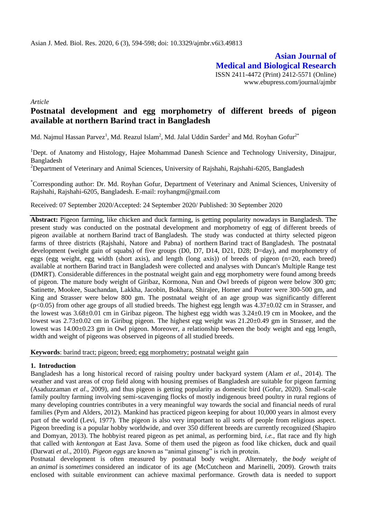**Asian Journal of Medical and Biological Research** ISSN 2411-4472 (Print) 2412-5571 (Online) www.ebupress.com/journal/ajmbr

*Article*

# **Postnatal development and egg morphometry of different breeds of pigeon available at northern Barind tract in Bangladesh**

Md. Najmul Hassan Parvez<sup>1</sup>, Md. Reazul Islam<sup>2</sup>, Md. Jalal Uddin Sarder<sup>2</sup> and Md. Royhan Gofur<sup>2\*</sup>

<sup>1</sup>Dept. of Anatomy and Histology, Hajee Mohammad Danesh Science and Technology University, Dinajpur, Bangladesh

<sup>2</sup>Department of Veterinary and Animal Sciences, University of Rajshahi, Rajshahi-6205, Bangladesh

\*Corresponding author: Dr. Md. Royhan Gofur, Department of Veterinary and Animal Sciences, University of Rajshahi, Rajshahi-6205, Bangladesh. E-mail: royhangm@gmail.com

Received: 07 September 2020/Accepted: 24 September 2020/ Published: 30 September 2020

**Abstract:** Pigeon farming, like chicken and duck farming, is getting popularity nowadays in Bangladesh. The present study was conducted on the postnatal development and morphometry of egg of different breeds of pigeon available at northern Barind tract of Bangladesh*.* The study was conducted at thirty selected pigeon farms of three districts (Rajshahi, Natore and Pabna) of northern Barind tract of Bangladesh*.* The postnatal development (weight gain of squabs) of five groups (D0, D7, D14, D21, D28; D=day), and morphometry of eggs (egg weight, egg width (short axis), and length (long axis)) of breeds of pigeon (n=20, each breed) available at northern Barind tract in Bangladesh were collected and analyses with Duncan's Multiple Range test (DMRT). Considerable differences in the postnatal weight gain and egg morphometry were found among breeds of pigeon. The mature body weight of Giribaz, Kormona, Nun and Owl breeds of pigeon were below 300 gm; Satinette, Mookee, Suachandan, Lakkha, Jacobin, Bokhara, Shirajee, Homer and Pouter were 300-500 gm, and King and Strasser were below 800 gm. The postnatal weight of an age group was significantly different  $(p<0.05)$  from other age groups of all studied breeds. The highest egg length was  $4.37\pm0.02$  cm in Strasser, and the lowest was 3.68±0.01 cm in Giribaz pigeon. The highest egg width was 3.24±0.19 cm in Mookee, and the lowest was  $2.73\pm0.02$  cm in Giribug pigeon. The highest egg weight was  $21.20\pm0.49$  gm in Strasser, and the lowest was 14.00±0.23 gm in Owl pigeon. Moreover, a relationship between the body weight and egg length, width and weight of pigeons was observed in pigeons of all studied breeds.

**Keywords**: barind tract; pigeon; breed; egg morphometry; postnatal weight gain

#### **1. Introduction**

Bangladesh has a long historical record of raising poultry under backyard system (Alam *et al*., 2014). The weather and vast areas of crop field along with housing premises of Bangladesh are suitable for pigeon farming (Asaduzzaman *et al*., 2009), and thus pigeon is getting popularity as domestic bird (Gofur, 2020). Small-scale family poultry farming involving semi-scavenging flocks of mostly indigenous breed poultry in rural regions of many developing countries contributes in a very meaningful way towards the social and financial needs of rural families [\(Pym](https://www.cabi.org/cabebooks/search/?q=au%3a%22Pym%2c+R.+A.+E.%22) and [Alders,](https://www.cabi.org/cabebooks/search/?q=au%3a%22Alders%2c+R.+G.%22) 2012). Mankind has practiced pigeon keeping for about 10,000 years in almost every part of the world (Levi, 1977). The pigeon is also very important to all sorts of people from religious aspect. Pigeon breeding is a popular hobby worldwide, and over 350 different breeds are currently recognized (Shapiro and Domyan, 2013). The hobbyist reared pigeon as pet animal, as performing bird, *i.e.*, flat race and fly high that called with *kentongan* at East Java. Some of them used the pigeon as food like chicken, duck and quail (Darwati *et al*., 2010). *Pigeon eggs* are known as "animal ginseng" is rich in protein.

Postnatal development is often measured by postnatal body weight. Alternately, the *body weight* of an *animal* is *sometimes* considered an indicator of its age (McCutcheon and Marinelli, 2009). Growth traits enclosed with suitable environment can achieve maximal performance. Growth data is needed to support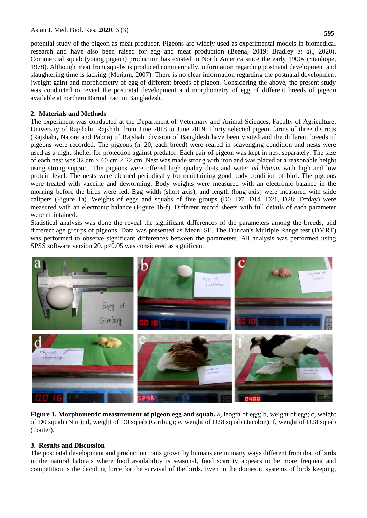potential study of the pigeon as meat producer. Pigeons are widely used as experimental models in biomedical research and have also been raised for egg and meat production (Beena, 2019; Bradley *et al*., 2020). Commercial squab (young pigeon) production has existed in North America since the early 1900s (Stanhope, 1978). Although meat from squabs is produced commercially, information regarding postnatal development and slaughtering time is lacking (Mariam, 2007). There is no clear information regarding the postnatal development (weight gain) and morphometry of egg of different breeds of pigeon. Considering the above, the present study was conducted to reveal the postnatal development and morphometry of egg of different breeds of pigeon available at northern Barind tract in Bangladesh.

### **2. Materials and Methods**

The experiment was conducted at the Department of Veterinary and Animal Sciences, Faculty of Agriculture, University of Rajshahi, Rajshahi from June 2018 to June 2019. Thirty selected pigeon farms of three districts (Rajshahi, Natore and Pabna) of Rajshahi division of Bangldesh have been visited and the different breeds of pigeons were recorded. The pigeons (n=20, each breed) were reared in scavenging condition and nests were used as a night shelter for protection against predator. Each pair of pigeon was kept in nest separately. The size of each nest was  $32 \text{ cm} \times 60 \text{ cm} \times 22 \text{ cm}$ . Nest was made strong with iron and was placed at a reasonable height using strong support. The pigeons were offered high quality diets and water *ad libitum* with high and low protein level. The nests were cleaned periodically for maintaining good body condition of bird. The pigeons were treated with vaccine and deworming. Body weights were measured with an electronic balance in the morning before the birds were fed. Egg width (short axis), and length (long axis) were measured with slide calipers (Figure 1a). Weights of eggs and squabs of five groups (D0, D7, D14, D21, D28; D=day) were measured with an electronic balance (Figure 1b-f). Different record sheets with full details of each parameter were maintained.

Statistical analysis was done the reveal the significant differences of the parameters among the breeds, and different age groups of pigeons. Data was presented as Mean±SE. The Duncan's Multiple Range test (DMRT) was performed to observe significant differences between the parameters. All analysis was performed using SPSS software version 20. p<0.05 was considered as significant.



**Figure 1. Morphometric measurement of pigeon egg and squab.** a, length of egg; b, weight of egg; c, weight of D0 squab (Nun); d, weight of D0 squab (Giribug); e, weight of D28 squab (Jacobin); f, weight of D28 squab (Pouter).

#### **3. Results and Discussion**

The postnatal development and production traits grown by humans are in many ways different from that of birds in the natural habitats where food availability is seasonal, food scarcity appears to be more frequent and competition is the deciding force for the survival of the birds. Even in the domestic systems of birds keeping,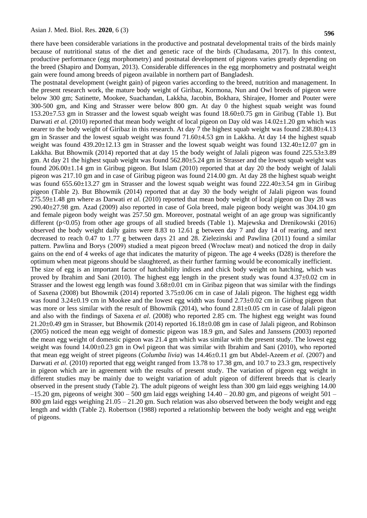**596**

there have been considerable variations in the productive and postnatal developmental traits of the birds mainly because of nutritional status of the diet and genetic race of the birds (Chudasama, 2017). In this context, productive performance (egg morphometry) and postnatal development of pigeons varies greatly depending on the breed (Shapiro and Domyan, 2013). Considerable differences in the egg morphometry and postnatal weight gain were found among breeds of pigeon available in northern part of Bangladesh.

The postnatal development (weight gain) of pigeon varies according to the breed, nutrition and management. In the present research work, the mature body weight of Giribaz, Kormona, Nun and Owl breeds of pigeon were below 300 gm; Satinette, Mookee, Suachandan, Lakkha, Jacobin, Bokhara, Shirajee, Homer and Pouter were 300-500 gm, and King and Strasser were below 800 gm. At day 0 the highest squab weight was found 153.20±7.53 gm in Strasser and the lowest squab weight was found 18.60±0.75 gm in Giribug (Table 1). But Darwati *et al.* (2010) reported that mean body weight of local pigeon on Day old was 14.02 $\pm$ 1.20 gm which was nearer to the body weight of Giribaz in this research. At day 7 the highest squab weight was found 238.80 $\pm$ 4.13 gm in Srasser and the lowest squab weight was found 71.60±4.53 gm in Lakkha. At day 14 the highest squab weight was found 439.20±12.13 gm in Strasser and the lowest squab weight was found 132.40±12.07 gm in Lakkha. But Bhowmik (2014) reported that at day 15 the body weight of Jalali pigeon was found 225.53±3.89 gm. At day 21 the highest squab weight was found 562.80±5.24 gm in Strasser and the lowest squab weight was found  $206.00\pm1.14$  gm in Giribug pigeon. But Islam (2010) reported that at day 20 the body weight of Jalali pigeon was 217.10 gm and in case of Giribug pigeon was found 214.00 gm. At day 28 the highest squab weight was found 655.60±13.27 gm in Strasser and the lowest squab weight was found 222.40±3.54 gm in Giribug pigeon (Table 2). But Bhowmik (2014) reported that at day 30 the body weight of Jalali pigeon was found 275.59±1.48 gm where as Darwati *et al.* (2010) reported that mean body weight of local pigeon on Day 28 was  $290.40\pm27.98$  gm. Azad (2009) also reported in case of Gola breed, male pigeon body weight was 304.10 gm and female pigeon body weight was 257.50 gm. Moreover, postnatal weight of an age group was significantly different (p<0.05) from other age groups of all studied breeds (Table 1). Majewska and Drenikowski (2016) observed the body weight daily gains were 8.83 to 12.61 g between day 7 and day 14 of rearing, and next decreased to reach 0.47 to 1.77 g between days 21 and 28. Zielezinski and Pawlina (2011) found a similar pattern. Pawlina and Borys (2009) studied a meat pigeon breed (Wrocław meat) and noticed the drop in daily gains on the end of 4 weeks of age that indicates the maturity of pigeon. The age 4 weeks (D28) is therefore the optimum when meat pigeons should be slaughtered, as their further farming would be economically inefficient. The size of egg is an important factor of hatchability indices and chick body weight on hatching, which was proved by Ibrahim and Sani (2010). The highest egg length in the present study was found 4.37±0.02 cm in Strasser and the lowest egg length was found 3.68±0.01 cm in Giribaz pigeon that was similar with the findings of Saxena (2008) but Bhowmik (2014) reported 3.75±0.06 cm in case of Jalali pigeon. The highest egg width was found 3.24±0.19 cm in Mookee and the lowest egg width was found 2.73±0.02 cm in Giribug pigeon that was more or less similar with the result of Bhowmik (2014), who found  $2.81\pm0.05$  cm in case of Jalali pigeon and also with the findings of Saxena *et al*. (2008) who reported 2.85 cm. The highest egg weight was found 21.20±0.49 gm in Strasser, but Bhowmik (2014) reported 16.18±0.08 gm in case of Jalali pigeon, and Robinson (2005) noticed the mean egg weight of domestic pigeon was 18.9 gm, and Sales and Janssens (2003) reported the mean egg weight of domestic pigeon was 21.4 gm which was similar with the present study. The lowest egg weight was found 14.00±0.23 gm in Owl pigeon that was similar with Ibrahim and Sani (2010), who reported that mean egg weight of street pigeons (*Columba livia*) was 14.46±0.11 gm but Abdel-Azeem *et al.* (2007) and Darwati *et al.* (2010) reported that egg weight ranged from 13.78 to 17.38 gm, and 10.7 to 23.3 gm, respectively in pigeon which are in agreement with the results of present study. The variation of pigeon egg weight in different studies may be mainly due to weight variation of adult pigeon of different breeds that is clearly observed in the present study (Table 2). The adult pigeons of weight less than 300 gm laid eggs weighing 14.00  $-15.20$  gm, pigeons of weight 300 – 500 gm laid eggs weighing  $14.40 - 20.80$  gm, and pigeons of weight 501 – 800 gm laid eggs weighing 21.05 – 21.20 gm. Such relation was also observed between the body weight and egg length and width (Table 2). Robertson (1988) reported a relationship between the body weight and egg weight of pigeons.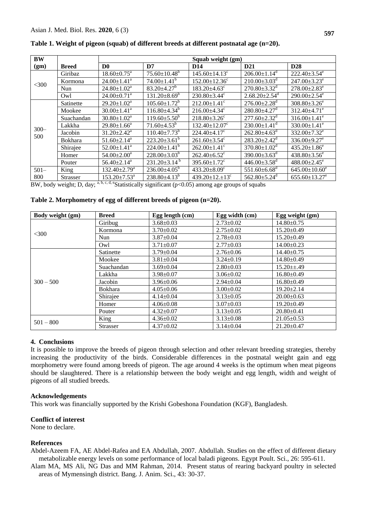| <b>BW</b>      |                | Squab weight (gm)             |                                |                                        |                                 |                                 |
|----------------|----------------|-------------------------------|--------------------------------|----------------------------------------|---------------------------------|---------------------------------|
| (gm)           | <b>Breed</b>   | D <sub>0</sub>                | D7                             | D <sub>14</sub>                        | D <sub>21</sub>                 | D <sub>28</sub>                 |
|                | Giribaz        | $18.60 \pm 0.75^{\text{a}}$   | $75.60 \pm 10.48^b$            | $145.60 \pm 14.13$ <sup>c</sup>        | $206.00 \pm 1.14$ <sup>d</sup>  | $222.40 \pm 3.54$ <sup>e</sup>  |
|                | Kormona        | $24.00 \pm 1.41$ <sup>a</sup> | $74.00 \pm 1.41^b$             | $152.00 \pm 12.36$ <sup>c</sup>        | $210.00\pm3.03^d$               | $247.00 \pm 3.23$ <sup>e</sup>  |
| $<$ 300        | Nun            | $24.80 \pm 1.02^a$            | $83.20 \pm 4.27$ <sup>b</sup>  | $183.20\pm4.63^c$                      | $270.80 \pm 3.32$ <sup>d</sup>  | $278.00 \pm 2.83$ <sup>e</sup>  |
|                | Owl            | $24.00 \pm 0.71$ <sup>a</sup> | $131.20 \pm 8.69^b$            | $230.80 \pm 3.44$ <sup>c</sup>         | $2.68.20 \pm 2.54$ <sup>d</sup> | $290.00 \pm 2.54$ <sup>e</sup>  |
| $300 -$<br>500 | Satinette      | $29.20 \pm 1.02^a$            | $105.60 \pm 1.72^b$            | $212.00 \pm 1.41$ <sup>c</sup>         | $276.00 \pm 2.28$ <sup>d</sup>  | $308.80 \pm 3.26^e$             |
|                | Mookee         | $30.00 \pm 1.41$ <sup>a</sup> | $116.80{\pm}4.34^b$            | $216.00\pm4.34^c$                      | $280.80 \pm 4.27$ <sup>d</sup>  | $312.40 \pm 4.71$ <sup>e</sup>  |
|                | Suachandan     | $30.80 \pm 1.02^a$            | $119.60 \pm 5.50^{\circ}$      | $218.80 \pm 3.26$ <sup>c</sup>         | $277.60 \pm 2.32$ <sup>d</sup>  | $316.00 \pm 1.41^e$             |
|                | Lakkha         | $29.80 \pm 1.66^a$            | $71.60\pm4.53^b$               | $132.40 \pm 12.07$ <sup>c</sup>        | $230.00 \pm 1.41$ <sup>d</sup>  | $330.00 \pm 1.41$ <sup>e</sup>  |
|                | Jacobin        | $31.20 \pm 2.42^a$            | $110.40 \pm 7.73^b$            | $224.40 + 4.17$ °                      | $262.80\pm4.63^{\rm d}$         | 332.00 $\pm$ 7.32 $^{\rm e}$    |
|                | <b>Bokhara</b> | $51.60 \pm 2.14$ <sup>a</sup> | $223.20\pm3.61^b$              | $261.60 \pm 3.54$ <sup>c</sup>         | $283.20 \pm 2.42$ <sup>d</sup>  | $336.00 \pm 9.27$ <sup>e</sup>  |
|                | Shirajee       | $52.00 \pm 1.41$ <sup>a</sup> | $224.00 \pm 1.41^b$            | $262.00 \pm 1.41$ <sup>c</sup>         | $370.80 \pm 1.02$ <sup>d</sup>  | $435.20 \pm 1.86$ <sup>e</sup>  |
|                | Homer          | $54.00 \pm 2.00^a$            | $228.00\pm3.03^b$              | $262.40 + 6.52^{\circ}$                | $390.00 \pm 3.63$ <sup>d</sup>  | $438.80 \pm 3.56^e$             |
|                | Pouter         | $56.40 \pm 2.14$ <sup>a</sup> | $231.20 \pm 3.14^{\mathrm{b}}$ | $395.60 \pm 1.72$ <sup>c</sup>         | $446.00 \pm 3.58$ <sup>d</sup>  | $488.00 \pm 2.45$ <sup>e</sup>  |
| $501 -$        | King           | $132.40 \pm 2.79^{\text{a}}$  | $236.00\pm4.05^b$              | $433.20 \pm 8.09$ <sup>c</sup>         | $551.60 \pm 6.68$ <sup>d</sup>  | $645.00 \pm 10.60^e$            |
| 800            | Strasser       | $153.20 \pm 7.53^a$           | $238.80\pm4.13^b$              | 439.20 $\pm$ 12. $\pm$ 13 <sup>c</sup> | $562.80 \pm 5.24$ <sup>d</sup>  | $655.60 \pm 13.27$ <sup>e</sup> |

Table 1. Weight of pigeon (squab) of different breeds at different postnatal age (n=20).

BW, body weight; D, day; a, b, c, d, eStatistically significant ( $p<0.05$ ) among age groups of squabs

|  |  |  |  |  |  | Table 2. Morphometry of egg of different breeds of pigeon (n=20). |  |  |  |
|--|--|--|--|--|--|-------------------------------------------------------------------|--|--|--|
|--|--|--|--|--|--|-------------------------------------------------------------------|--|--|--|

| Body weight (gm) | <b>Breed</b>    | Egg length (cm) | Egg width (cm)  | Egg weight (gm)  |
|------------------|-----------------|-----------------|-----------------|------------------|
|                  | Giribug         | $3.68 \pm 0.03$ | $2.73 \pm 0.02$ | $14.80 \pm 0.75$ |
| <300             | Kormona         | $3.70 \pm 0.02$ | $2.75 \pm 0.02$ | $15.20 \pm 0.49$ |
|                  | Nun             | $3.87 \pm 0.04$ | $2.78 \pm 0.03$ | $15.20 \pm 0.49$ |
|                  | Owl             | $3.71 \pm 0.07$ | $2.77 \pm 0.03$ | $14.00 \pm 0.23$ |
|                  | Satinette       | $3.79 \pm 0.04$ | $2.76 \pm 0.06$ | $14.40 \pm 0.75$ |
|                  | Mookee          | $3.81 \pm 0.04$ | $3.24 \pm 0.19$ | $14.80 \pm 0.49$ |
|                  | Suachandan      | $3.69 \pm 0.04$ | $2.80 \pm 0.03$ | $15.20 \pm 0.49$ |
|                  | Lakkha          | $3.98 \pm 0.07$ | $3.06 \pm 0.02$ | $16.80 \pm 0.49$ |
| $300 - 500$      | Jacobin         | $3.96 \pm 0.06$ | $2.94 \pm 0.04$ | $16.80\pm0.49$   |
|                  | <b>Bokhara</b>  | $4.05 \pm 0.06$ | $3.00 \pm 0.02$ | $19.20 \pm 2.14$ |
|                  | Shirajee        | $4.14 \pm 0.04$ | $3.13 \pm 0.05$ | $20.00 \pm 0.63$ |
|                  | Homer           | $4.06 \pm 0.08$ | $3.07 \pm 0.03$ | $19.20 \pm 0.49$ |
|                  | Pouter          | $4.32 \pm 0.07$ | $3.13 \pm 0.05$ | $20.80 \pm 0.41$ |
| $501 - 800$      | King            | $4.36 \pm 0.02$ | $3.13 \pm 0.08$ | $21.05 \pm 0.53$ |
|                  | <b>Strasser</b> | $4.37 \pm 0.02$ | $3.14 \pm 0.04$ | $21.20 \pm 0.47$ |

#### 4. Conclusions

It is possible to improve the breeds of pigeon through selection and other relevant breeding strategies, thereby increasing the productivity of the birds. Considerable differences in the postnatal weight gain and egg morphometry were found among breeds of pigeon. The age around 4 weeks is the optimum when meat pigeons should be slaughtered. There is a relationship between the body weight and egg length, width and weight of pigeons of all studied breeds.

#### **Acknowledgements**

This work was financially supported by the Krishi Gobeshona Foundation (KGF), Bangladesh.

#### **Conflict of interest**

None to declare.

## **References**

Abdel-Azeem FA, AE Abdel-Rafea and EA Abdullah, 2007. Abdullah. Studies on the effect of different dietary metabolizable energy levels on some performance of local baladi pigeons. Egypt Poult. Sci., 26: 595-611.

Alam MA, MS Ali, NG Das and MM Rahman, 2014. Present status of rearing backyard poultry in selected areas of Mymensingh district. Bang. J. Anim. Sci., 43: 30-37.